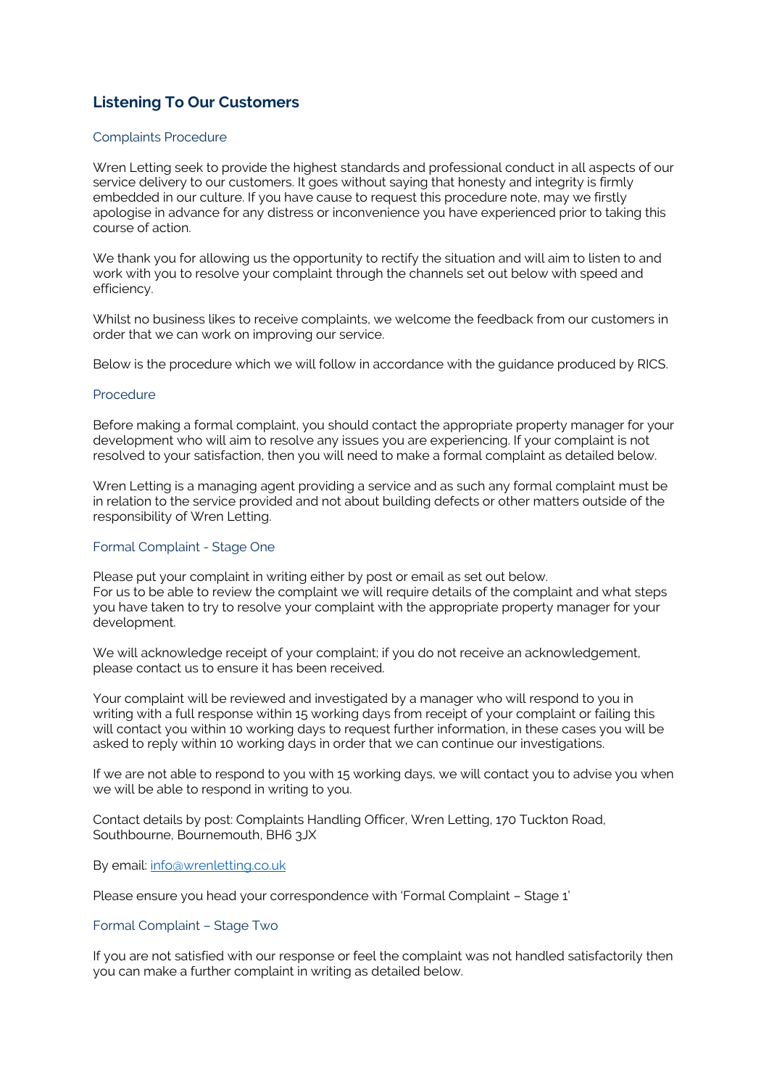# **Listening To Our Customers**

## Complaints Procedure

Wren Letting seek to provide the highest standards and professional conduct in all aspects of our service delivery to our customers. It goes without saying that honesty and integrity is firmly embedded in our culture. If you have cause to request this procedure note, may we firstly apologise in advance for any distress or inconvenience you have experienced prior to taking this course of action.

We thank you for allowing us the opportunity to rectify the situation and will aim to listen to and work with you to resolve your complaint through the channels set out below with speed and efficiency.

Whilst no business likes to receive complaints, we welcome the feedback from our customers in order that we can work on improving our service.

Below is the procedure which we will follow in accordance with the guidance produced by RICS.

### Procedure

Before making a formal complaint, you should contact the appropriate property manager for your development who will aim to resolve any issues you are experiencing. If your complaint is not resolved to your satisfaction, then you will need to make a formal complaint as detailed below.

Wren Letting is a managing agent providing a service and as such any formal complaint must be in relation to the service provided and not about building defects or other matters outside of the responsibility of Wren Letting.

### Formal Complaint - Stage One

Please put your complaint in writing either by post or email as set out below. For us to be able to review the complaint we will require details of the complaint and what steps you have taken to try to resolve your complaint with the appropriate property manager for your development.

We will acknowledge receipt of your complaint; if you do not receive an acknowledgement, please contact us to ensure it has been received.

Your complaint will be reviewed and investigated by a manager who will respond to you in writing with a full response within 15 working days from receipt of your complaint or failing this will contact you within 10 working days to request further information, in these cases you will be asked to reply within 10 working days in order that we can continue our investigations.

If we are not able to respond to you with 15 working days, we will contact you to advise you when we will be able to respond in writing to you.

Contact details by post: Complaints Handling Officer, Wren Letting, 170 Tuckton Road, Southbourne, Bournemouth, BH6 3JX

By email: [info@wrenletting.co.uk](mailto:info@wrenletting.co.uk)

Please ensure you head your correspondence with 'Formal Complaint – Stage 1'

## Formal Complaint – Stage Two

If you are not satisfied with our response or feel the complaint was not handled satisfactorily then you can make a further complaint in writing as detailed below.